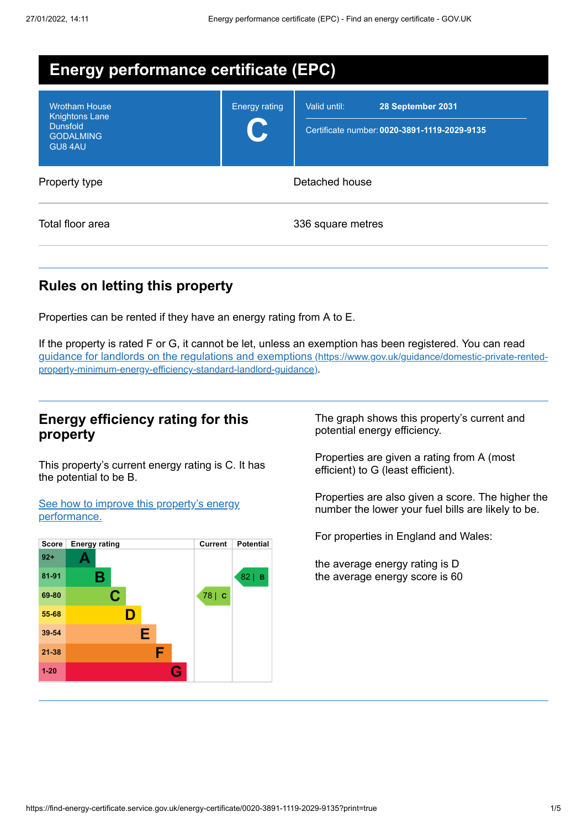| <b>Energy performance certificate (EPC)</b>                                                     |                      |                                                                                   |  |
|-------------------------------------------------------------------------------------------------|----------------------|-----------------------------------------------------------------------------------|--|
| <b>Wrotham House</b><br><b>Knightons Lane</b><br><b>Dunsfold</b><br><b>GODALMING</b><br>GU8 4AU | <b>Energy rating</b> | Valid until:<br>28 September 2031<br>Certificate number: 0020-3891-1119-2029-9135 |  |
| Property type                                                                                   | Detached house       |                                                                                   |  |
| Total floor area                                                                                |                      | 336 square metres                                                                 |  |

# **Rules on letting this property**

Properties can be rented if they have an energy rating from A to E.

If the property is rated F or G, it cannot be let, unless an exemption has been registered. You can read guidance for landlords on the regulations and exemptions (https://www.gov.uk/guidance/domestic-private-rented[property-minimum-energy-efficiency-standard-landlord-guidance\)](https://www.gov.uk/guidance/domestic-private-rented-property-minimum-energy-efficiency-standard-landlord-guidance).

# **Energy efficiency rating for this property**

This property's current energy rating is C. It has the potential to be B.

See how to improve this property's energy [performance.](#page-2-0)



The graph shows this property's current and potential energy efficiency.

Properties are given a rating from A (most efficient) to G (least efficient).

Properties are also given a score. The higher the number the lower your fuel bills are likely to be.

For properties in England and Wales:

the average energy rating is D the average energy score is 60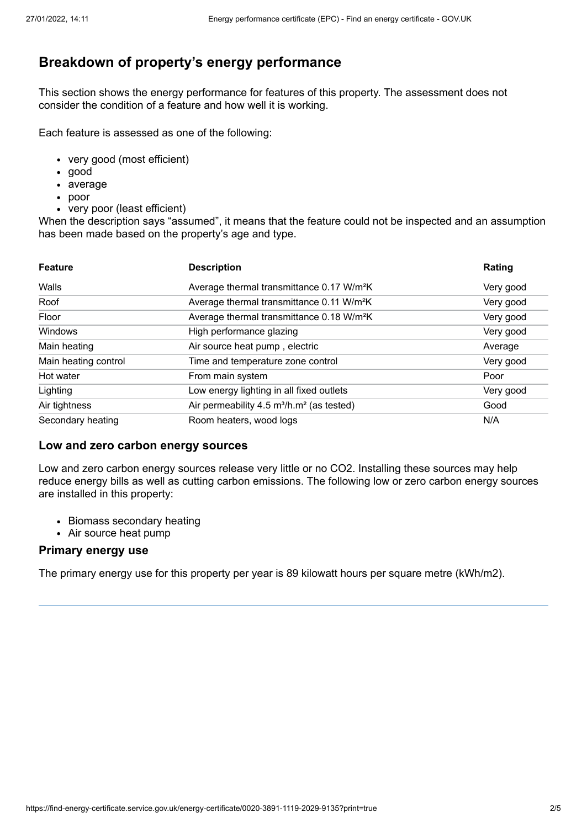# **Breakdown of property's energy performance**

This section shows the energy performance for features of this property. The assessment does not consider the condition of a feature and how well it is working.

Each feature is assessed as one of the following:

- very good (most efficient)
- good
- average
- poor
- very poor (least efficient)

When the description says "assumed", it means that the feature could not be inspected and an assumption has been made based on the property's age and type.

| <b>Feature</b>       | <b>Description</b>                                                | Rating    |
|----------------------|-------------------------------------------------------------------|-----------|
| Walls                | Average thermal transmittance 0.17 W/m <sup>2</sup> K             | Very good |
| Roof                 | Average thermal transmittance 0.11 W/m <sup>2</sup> K             | Very good |
| Floor                | Average thermal transmittance 0.18 W/m <sup>2</sup> K             | Very good |
| Windows              | High performance glazing                                          | Very good |
| Main heating         | Air source heat pump, electric                                    | Average   |
| Main heating control | Time and temperature zone control                                 | Very good |
| Hot water            | From main system                                                  | Poor      |
| Lighting             | Low energy lighting in all fixed outlets                          | Very good |
| Air tightness        | Air permeability 4.5 m <sup>3</sup> /h.m <sup>2</sup> (as tested) | Good      |
| Secondary heating    | Room heaters, wood logs                                           | N/A       |

#### **Low and zero carbon energy sources**

Low and zero carbon energy sources release very little or no CO2. Installing these sources may help reduce energy bills as well as cutting carbon emissions. The following low or zero carbon energy sources are installed in this property:

- Biomass secondary heating
- Air source heat pump

#### **Primary energy use**

The primary energy use for this property per year is 89 kilowatt hours per square metre (kWh/m2).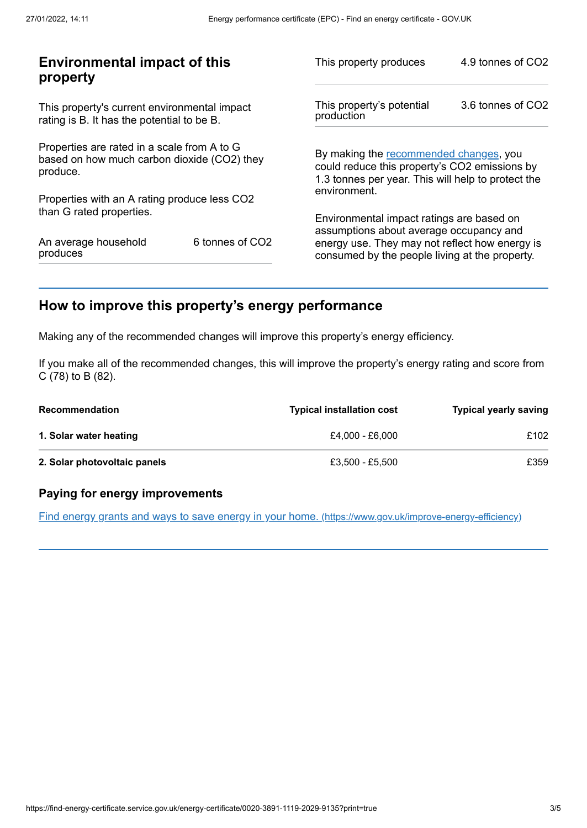| <b>Environmental impact of this</b><br>property                                                        |                             | This property produces                                                                                                                        | 4.9 tonnes of CO2 |
|--------------------------------------------------------------------------------------------------------|-----------------------------|-----------------------------------------------------------------------------------------------------------------------------------------------|-------------------|
| This property's current environmental impact<br>rating is B. It has the potential to be B.             |                             | This property's potential<br>production                                                                                                       | 3.6 tonnes of CO2 |
| Properties are rated in a scale from A to G<br>based on how much carbon dioxide (CO2) they<br>produce. |                             | By making the recommended changes, you<br>could reduce this property's CO2 emissions by<br>1.3 tonnes per year. This will help to protect the |                   |
| Properties with an A rating produce less CO2                                                           |                             | environment.                                                                                                                                  |                   |
| than G rated properties.                                                                               |                             | Environmental impact ratings are based on<br>assumptions about average occupancy and                                                          |                   |
| An average household<br>produces                                                                       | 6 tonnes of CO <sub>2</sub> | energy use. They may not reflect how energy is<br>consumed by the people living at the property.                                              |                   |
|                                                                                                        |                             |                                                                                                                                               |                   |

# <span id="page-2-0"></span>**How to improve this property's energy performance**

Making any of the recommended changes will improve this property's energy efficiency.

If you make all of the recommended changes, this will improve the property's energy rating and score from C (78) to B (82).

| <b>Recommendation</b>        | <b>Typical installation cost</b> | <b>Typical yearly saving</b> |
|------------------------------|----------------------------------|------------------------------|
| 1. Solar water heating       | £4.000 - £6.000                  | £102                         |
| 2. Solar photovoltaic panels | £3.500 - £5.500                  | £359                         |

## **Paying for energy improvements**

Find energy grants and ways to save energy in your home. [\(https://www.gov.uk/improve-energy-efficiency\)](https://www.gov.uk/improve-energy-efficiency)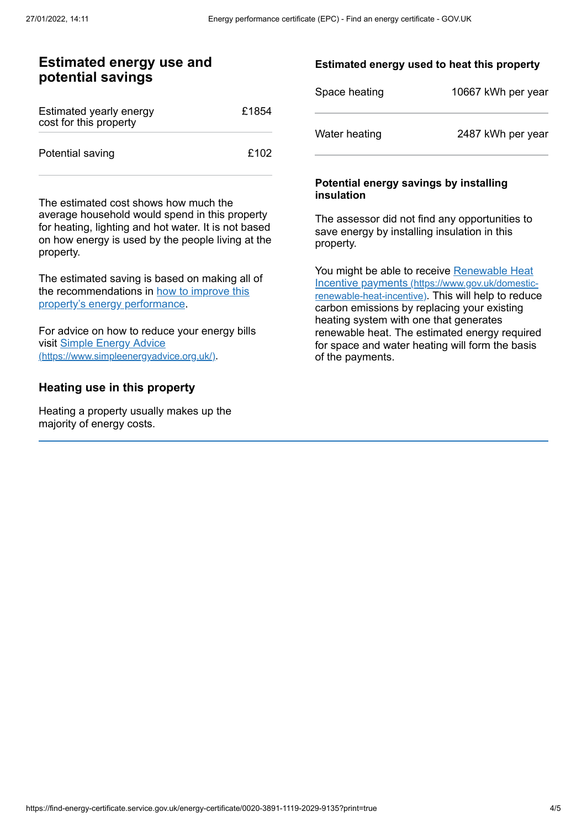## **Estimated energy use and potential savings**

| Estimated yearly energy<br>cost for this property | £1854 |
|---------------------------------------------------|-------|
| Potential saving                                  | £102  |

The estimated cost shows how much the average household would spend in this property for heating, lighting and hot water. It is not based on how energy is used by the people living at the property.

The estimated saving is based on making all of the [recommendations](#page-2-0) in how to improve this property's energy performance.

For advice on how to reduce your energy bills visit Simple Energy Advice [\(https://www.simpleenergyadvice.org.uk/\)](https://www.simpleenergyadvice.org.uk/).

## **Heating use in this property**

Heating a property usually makes up the majority of energy costs.

## **Estimated energy used to heat this property**

| Space heating | 10667 kWh per year |
|---------------|--------------------|
| Water heating | 2487 kWh per year  |

#### **Potential energy savings by installing insulation**

The assessor did not find any opportunities to save energy by installing insulation in this property.

You might be able to receive Renewable Heat Incentive payments [\(https://www.gov.uk/domestic](https://www.gov.uk/domestic-renewable-heat-incentive)renewable-heat-incentive). This will help to reduce carbon emissions by replacing your existing heating system with one that generates renewable heat. The estimated energy required for space and water heating will form the basis of the payments.